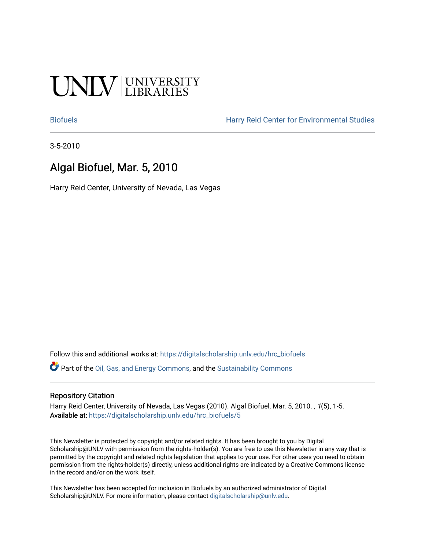# UNIV UNIVERSITY

[Biofuels](https://digitalscholarship.unlv.edu/hrc_biofuels) [Harry Reid Center for Environmental Studies](https://digitalscholarship.unlv.edu/hrc) 

3-5-2010

## Algal Biofuel, Mar. 5, 2010

Harry Reid Center, University of Nevada, Las Vegas

Follow this and additional works at: [https://digitalscholarship.unlv.edu/hrc\\_biofuels](https://digitalscholarship.unlv.edu/hrc_biofuels?utm_source=digitalscholarship.unlv.edu%2Fhrc_biofuels%2F5&utm_medium=PDF&utm_campaign=PDFCoverPages) 

Part of the [Oil, Gas, and Energy Commons](http://network.bepress.com/hgg/discipline/171?utm_source=digitalscholarship.unlv.edu%2Fhrc_biofuels%2F5&utm_medium=PDF&utm_campaign=PDFCoverPages), and the [Sustainability Commons](http://network.bepress.com/hgg/discipline/1031?utm_source=digitalscholarship.unlv.edu%2Fhrc_biofuels%2F5&utm_medium=PDF&utm_campaign=PDFCoverPages)

#### Repository Citation

Harry Reid Center, University of Nevada, Las Vegas (2010). Algal Biofuel, Mar. 5, 2010. , 1(5), 1-5. Available at: [https://digitalscholarship.unlv.edu/hrc\\_biofuels/5](https://digitalscholarship.unlv.edu/hrc_biofuels/5) 

This Newsletter is protected by copyright and/or related rights. It has been brought to you by Digital Scholarship@UNLV with permission from the rights-holder(s). You are free to use this Newsletter in any way that is permitted by the copyright and related rights legislation that applies to your use. For other uses you need to obtain permission from the rights-holder(s) directly, unless additional rights are indicated by a Creative Commons license in the record and/or on the work itself.

This Newsletter has been accepted for inclusion in Biofuels by an authorized administrator of Digital Scholarship@UNLV. For more information, please contact [digitalscholarship@unlv.edu.](mailto:digitalscholarship@unlv.edu)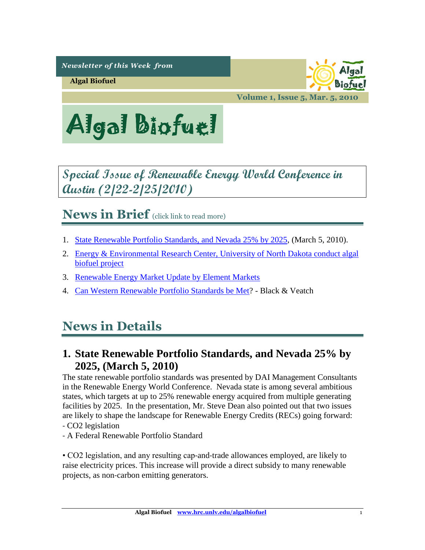*Newsletter of this Week from* 

**Algal Biofuel**

biofu:

**Volume 1, Issue 5, Mar. 5, 2010**



# <span id="page-1-1"></span>**Special Issue of Renewable Energy World Conference in Austin (2/22-2/25/2010)**

**News in Brief** (click link to read more)

- 1. [State Renewable Portfolio Standards, and Nevada 25% by 2025,](#page-1-0) (March 5, 2010).
- 2. [Energy & Environmental Research Center, University of North Dakota conduct algal](#page-4-0)  [biofuel project](#page-4-0)
- 3. [Renewable Energy Market Update by Element Markets](#page-4-1)
- 4. [Can Western Renewable Portfolio Standards be Met?](#page-4-2) Black & Veatch

# **News in Details**

### <span id="page-1-0"></span>**1. [State](#page-1-0) Renewable Portfolio Standards, and Nevada 25% by 2025, (March 5, 2010)**

The state renewable portfolio standards was presented by DAI Management Consultants in the Renewable Energy World Conference. Nevada state is among several ambitious states, which targets at up to 25% renewable energy acquired from multiple generating facilities by 2025. In the presentation, Mr. Steve Dean also pointed out that two issues are likely to shape the landscape for Renewable Energy Credits (RECs) going forward: ‐ CO2 legislation

‐ A Federal Renewable Portfolio Standard

• CO2 legislation, and any resulting cap‐and‐trade allowances employed, are likely to raise electricity prices. This increase will provide a direct subsidy to many renewable projects, as non‐carbon emitting generators.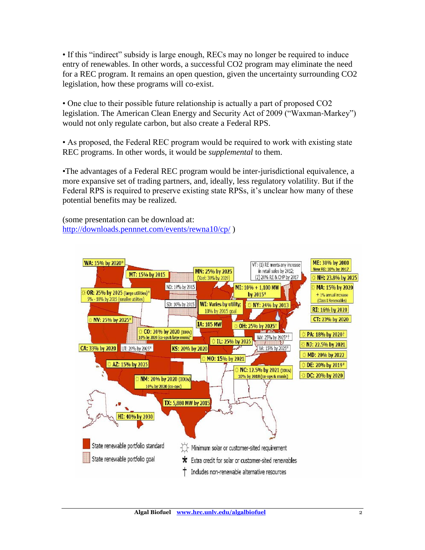• If this "indirect" subsidy is large enough, RECs may no longer be required to induce entry of renewables. In other words, a successful CO2 program may eliminate the need for a REC program. It remains an open question, given the uncertainty surrounding CO2 legislation, how these programs will co‐exist.

• One clue to their possible future relationship is actually a part of proposed CO2 legislation. The American Clean Energy and Security Act of 2009 ("Waxman‐Markey") would not only regulate carbon, but also create a Federal RPS.

• As proposed, the Federal REC program would be required to work with existing state REC programs. In other words, it would be *supplemental* to them.

•The advantages of a Federal REC program would be inter-jurisdictional equivalence, a more expansive set of trading partners, and, ideally, less regulatory volatility. But if the Federal RPS is required to preserve existing state RPSs, it's unclear how many of these potential benefits may be realized.

(some presentation can be download at: <http://downloads.pennnet.com/events/rewna10/cp/> )

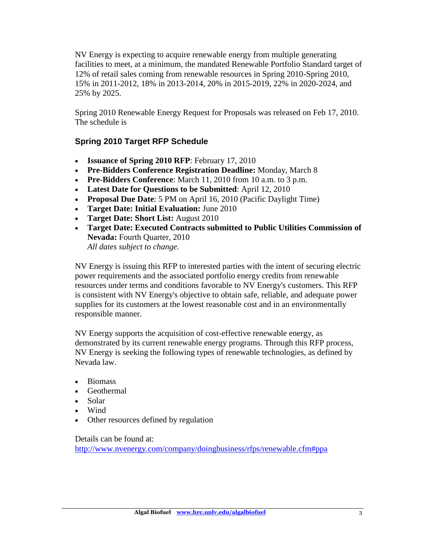NV Energy is expecting to acquire renewable energy from multiple generating facilities to meet, at a minimum, the mandated Renewable Portfolio Standard target of 12% of retail sales coming from renewable resources in Spring 2010-Spring 2010, 15% in 2011-2012, 18% in 2013-2014, 20% in 2015-2019, 22% in 2020-2024, and 25% by 2025.

Spring 2010 Renewable Energy Request for Proposals was released on Feb 17, 2010. The schedule is

#### **Spring 2010 Target RFP Schedule**

- **Issuance of Spring 2010 RFP**: February 17, 2010
- **Pre-Bidders Conference Registration Deadline:** Monday, March 8
- **Pre-Bidders Conference**: March 11, 2010 from 10 a.m. to 3 p.m.
- **Latest Date for Questions to be Submitted**: April 12, 2010
- **Proposal Due Date**: 5 PM on April 16, 2010 (Pacific Daylight Time)
- **Target Date: Initial Evaluation:** June 2010
- **Target Date: Short List:** August 2010
- **Target Date: Executed Contracts submitted to Public Utilities Commission of Nevada:** Fourth Quarter, 2010 *All dates subject to change.*

NV Energy is issuing this RFP to interested parties with the intent of securing electric power requirements and the associated portfolio energy credits from renewable resources under terms and conditions favorable to NV Energy's customers. This RFP is consistent with NV Energy's objective to obtain safe, reliable, and adequate power supplies for its customers at the lowest reasonable cost and in an environmentally responsible manner.

NV Energy supports the acquisition of cost-effective renewable energy, as demonstrated by its current renewable energy programs. Through this RFP process, NV Energy is seeking the following types of renewable technologies, as defined by Nevada law.

- Biomass
- Geothermal
- Solar
- Wind
- Other resources defined by regulation

#### Details can be found at:

<http://www.nvenergy.com/company/doingbusiness/rfps/renewable.cfm#ppa>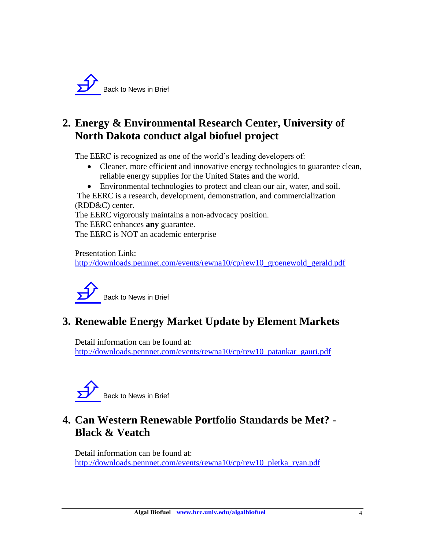

## <span id="page-4-0"></span>**2. Energy & Environmental Research Center, University of North Dakota conduct algal biofuel project**

The EERC is recognized as one of the world's leading developers of:

- Cleaner, more efficient and innovative energy technologies to guarantee clean, reliable energy supplies for the United States and the world.
- Environmental technologies to protect and clean our air, water, and soil.

The EERC is a research, development, demonstration, and commercialization (RDD&C) center.

The EERC vigorously maintains a non-advocacy position. The EERC enhances **any** guarantee.

The EERC is NOT an academic enterprise

Presentation Link: [http://downloads.pennnet.com/events/rewna10/cp/rew10\\_groenewold\\_gerald.pdf](http://downloads.pennnet.com/events/rewna10/cp/rew10_groenewold_gerald.pdf)



# <span id="page-4-1"></span>**3. Renewable Energy Market Update by Element Markets**

Detail information can be found at: [http://downloads.pennnet.com/events/rewna10/cp/rew10\\_patankar\\_gauri.pdf](http://downloads.pennnet.com/events/rewna10/cp/rew10_patankar_gauri.pdf)



# <span id="page-4-2"></span>**4. Can Western Renewable Portfolio Standards be Met? - Black & Veatch**

Detail information can be found at: [http://downloads.pennnet.com/events/rewna10/cp/rew10\\_pletka\\_ryan.pdf](http://downloads.pennnet.com/events/rewna10/cp/rew10_pletka_ryan.pdf)